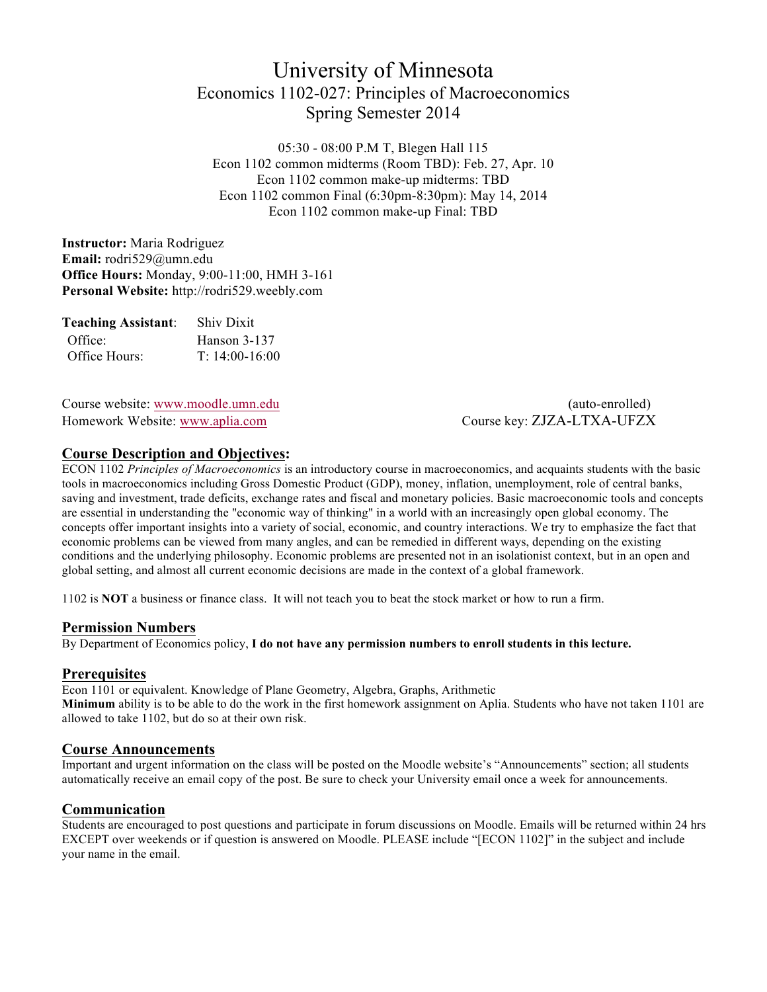# University of Minnesota Economics 1102-027: Principles of Macroeconomics Spring Semester 2014

05:30 - 08:00 P.M T, Blegen Hall 115 Econ 1102 common midterms (Room TBD): Feb. 27, Apr. 10 Econ 1102 common make-up midterms: TBD Econ 1102 common Final (6:30pm-8:30pm): May 14, 2014 Econ 1102 common make-up Final: TBD

**Instructor:** Maria Rodriguez **Email:** rodri529@umn.edu **Office Hours:** Monday, 9:00-11:00, HMH 3-161 **Personal Website:** http://rodri529.weebly.com

| <b>Teaching Assistant:</b> | <b>Shiv Dixit</b> |
|----------------------------|-------------------|
| Office:                    | Hanson 3-137      |
| Office Hours:              | $T: 14:00-16:00$  |

Course website: www.moodle.umn.edu (auto-enrolled) Homework Website: www.aplia.com Course key: ZJZA-LTXA-UFZX

### **Course Description and Objectives:**

ECON 1102 *Principles of Macroeconomics* is an introductory course in macroeconomics, and acquaints students with the basic tools in macroeconomics including Gross Domestic Product (GDP), money, inflation, unemployment, role of central banks, saving and investment, trade deficits, exchange rates and fiscal and monetary policies. Basic macroeconomic tools and concepts are essential in understanding the "economic way of thinking" in a world with an increasingly open global economy. The concepts offer important insights into a variety of social, economic, and country interactions. We try to emphasize the fact that economic problems can be viewed from many angles, and can be remedied in different ways, depending on the existing conditions and the underlying philosophy. Economic problems are presented not in an isolationist context, but in an open and global setting, and almost all current economic decisions are made in the context of a global framework.

1102 is **NOT** a business or finance class. It will not teach you to beat the stock market or how to run a firm.

### **Permission Numbers**

By Department of Economics policy, **I do not have any permission numbers to enroll students in this lecture.**

### **Prerequisites**

Econ 1101 or equivalent. Knowledge of Plane Geometry, Algebra, Graphs, Arithmetic **Minimum** ability is to be able to do the work in the first homework assignment on Aplia. Students who have not taken 1101 are allowed to take 1102, but do so at their own risk.

### **Course Announcements**

Important and urgent information on the class will be posted on the Moodle website's "Announcements" section; all students automatically receive an email copy of the post. Be sure to check your University email once a week for announcements.

### **Communication**

Students are encouraged to post questions and participate in forum discussions on Moodle. Emails will be returned within 24 hrs EXCEPT over weekends or if question is answered on Moodle. PLEASE include "[ECON 1102]" in the subject and include your name in the email.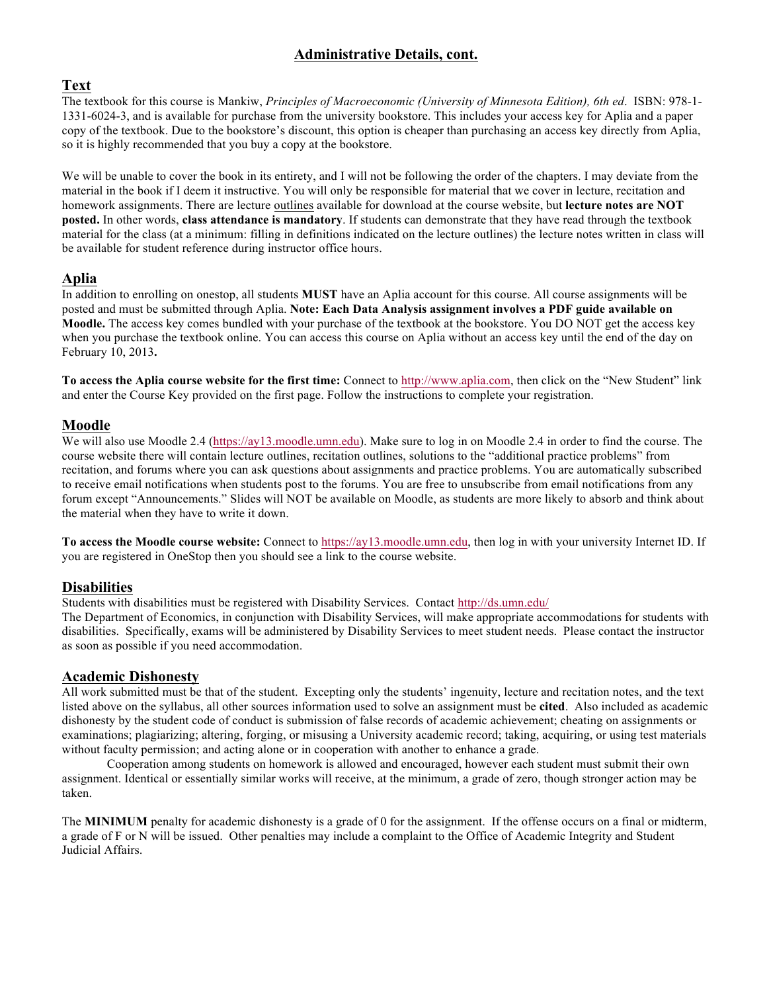# **Administrative Details, cont.**

# **Text**

The textbook for this course is Mankiw, *Principles of Macroeconomic (University of Minnesota Edition), 6th ed*. ISBN: 978-1- 1331-6024-3, and is available for purchase from the university bookstore. This includes your access key for Aplia and a paper copy of the textbook. Due to the bookstore's discount, this option is cheaper than purchasing an access key directly from Aplia, so it is highly recommended that you buy a copy at the bookstore.

We will be unable to cover the book in its entirety, and I will not be following the order of the chapters. I may deviate from the material in the book if I deem it instructive. You will only be responsible for material that we cover in lecture, recitation and homework assignments. There are lecture outlines available for download at the course website, but **lecture notes are NOT posted.** In other words, **class attendance is mandatory**. If students can demonstrate that they have read through the textbook material for the class (at a minimum: filling in definitions indicated on the lecture outlines) the lecture notes written in class will be available for student reference during instructor office hours.

# **Aplia**

In addition to enrolling on onestop, all students **MUST** have an Aplia account for this course. All course assignments will be posted and must be submitted through Aplia. **Note: Each Data Analysis assignment involves a PDF guide available on Moodle.** The access key comes bundled with your purchase of the textbook at the bookstore. You DO NOT get the access key when you purchase the textbook online. You can access this course on Aplia without an access key until the end of the day on February 10, 2013**.**

**To access the Aplia course website for the first time:** Connect to http://www.aplia.com, then click on the "New Student" link and enter the Course Key provided on the first page. Follow the instructions to complete your registration.

## **Moodle**

We will also use Moodle 2.4 (https://ay13.moodle.umn.edu). Make sure to log in on Moodle 2.4 in order to find the course. The course website there will contain lecture outlines, recitation outlines, solutions to the "additional practice problems" from recitation, and forums where you can ask questions about assignments and practice problems. You are automatically subscribed to receive email notifications when students post to the forums. You are free to unsubscribe from email notifications from any forum except "Announcements." Slides will NOT be available on Moodle, as students are more likely to absorb and think about the material when they have to write it down.

**To access the Moodle course website:** Connect to https://ay13.moodle.umn.edu, then log in with your university Internet ID. If you are registered in OneStop then you should see a link to the course website.

# **Disabilities**

Students with disabilities must be registered with Disability Services. Contact http://ds.umn.edu/

The Department of Economics, in conjunction with Disability Services, will make appropriate accommodations for students with disabilities. Specifically, exams will be administered by Disability Services to meet student needs. Please contact the instructor as soon as possible if you need accommodation.

### **Academic Dishonesty**

All work submitted must be that of the student. Excepting only the students' ingenuity, lecture and recitation notes, and the text listed above on the syllabus, all other sources information used to solve an assignment must be **cited**. Also included as academic dishonesty by the student code of conduct is submission of false records of academic achievement; cheating on assignments or examinations; plagiarizing; altering, forging, or misusing a University academic record; taking, acquiring, or using test materials without faculty permission; and acting alone or in cooperation with another to enhance a grade.

Cooperation among students on homework is allowed and encouraged, however each student must submit their own assignment. Identical or essentially similar works will receive, at the minimum, a grade of zero, though stronger action may be taken.

The **MINIMUM** penalty for academic dishonesty is a grade of 0 for the assignment. If the offense occurs on a final or midterm, a grade of F or N will be issued. Other penalties may include a complaint to the Office of Academic Integrity and Student Judicial Affairs.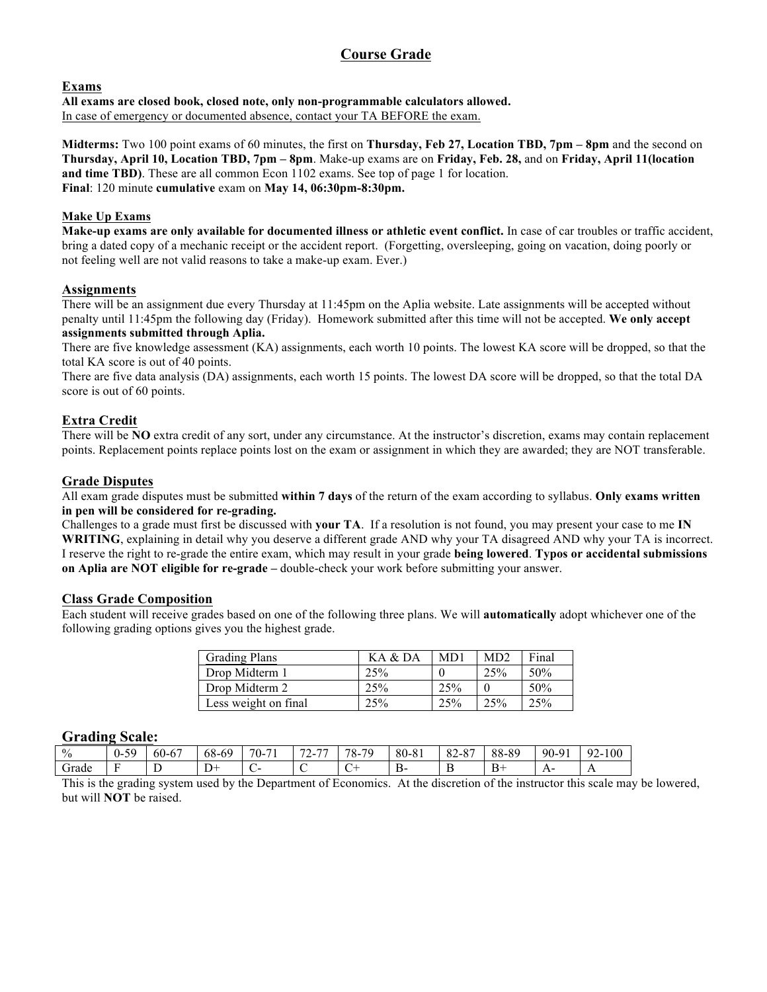# **Course Grade**

### **Exams**

**All exams are closed book, closed note, only non-programmable calculators allowed.** In case of emergency or documented absence, contact your TA BEFORE the exam.

**Midterms:** Two 100 point exams of 60 minutes, the first on **Thursday, Feb 27, Location TBD, 7pm – 8pm** and the second on **Thursday, April 10, Location TBD, 7pm – 8pm**. Make-up exams are on **Friday, Feb. 28,** and on **Friday, April 11(location and time TBD)**. These are all common Econ 1102 exams. See top of page 1 for location. **Final**: 120 minute **cumulative** exam on **May 14, 06:30pm-8:30pm.**

### **Make Up Exams**

**Make-up exams are only available for documented illness or athletic event conflict.** In case of car troubles or traffic accident, bring a dated copy of a mechanic receipt or the accident report. (Forgetting, oversleeping, going on vacation, doing poorly or not feeling well are not valid reasons to take a make-up exam. Ever.)

### **Assignments**

There will be an assignment due every Thursday at 11:45pm on the Aplia website. Late assignments will be accepted without penalty until 11:45pm the following day (Friday). Homework submitted after this time will not be accepted. **We only accept assignments submitted through Aplia.**

There are five knowledge assessment (KA) assignments, each worth 10 points. The lowest KA score will be dropped, so that the total KA score is out of 40 points.

There are five data analysis (DA) assignments, each worth 15 points. The lowest DA score will be dropped, so that the total DA score is out of 60 points.

### **Extra Credit**

There will be **NO** extra credit of any sort, under any circumstance. At the instructor's discretion, exams may contain replacement points. Replacement points replace points lost on the exam or assignment in which they are awarded; they are NOT transferable.

### **Grade Disputes**

All exam grade disputes must be submitted **within 7 days** of the return of the exam according to syllabus. **Only exams written in pen will be considered for re-grading.** 

Challenges to a grade must first be discussed with **your TA**. If a resolution is not found, you may present your case to me **IN WRITING**, explaining in detail why you deserve a different grade AND why your TA disagreed AND why your TA is incorrect. I reserve the right to re-grade the entire exam, which may result in your grade **being lowered**. **Typos or accidental submissions on Aplia are NOT eligible for re-grade –** double-check your work before submitting your answer.

### **Class Grade Composition**

Each student will receive grades based on one of the following three plans. We will **automatically** adopt whichever one of the following grading options gives you the highest grade.

| <b>Grading Plans</b> | KA & DA | MD1 | MD2 | Final           |
|----------------------|---------|-----|-----|-----------------|
| Drop Midterm 1       | 25%     |     | 25% | 50%             |
| Drop Midterm 2       | 25%     | 25% |     | 50%             |
| Less weight on final | 25%     | 25% | 25% | 25 <sup>%</sup> |

### **Grading Scale:**

| $\frac{0}{0}$ | 5c<br>.<br>$\cdot$<br><u>.</u> | $\sim$ $\sim$<br>$\sim$ $\sim$<br>$60 -$ | 68-69    | $70-$<br>$-1$ | $\overline{\phantom{a}}$<br>$\overline{\phantom{a}}$<br>,<br>∼ | .70<br>70<br>$\sim$ | 80-81    | $\circ$<br>$\sim$ $\circ$ $\sim$<br>$\delta Z$<br>-<br>Δ. | 88-89        | 90-91 | റ<br>100<br>- 47 |
|---------------|--------------------------------|------------------------------------------|----------|---------------|----------------------------------------------------------------|---------------------|----------|-----------------------------------------------------------|--------------|-------|------------------|
| Grade         | $\sim$                         | -<br><b>.</b>                            | <b>.</b> |               |                                                                |                     | - -<br>◡ | .,                                                        | $\mathbf{B}$ | . .   | . .              |

This is the grading system used by the Department of Economics. At the discretion of the instructor this scale may be lowered, but will **NOT** be raised.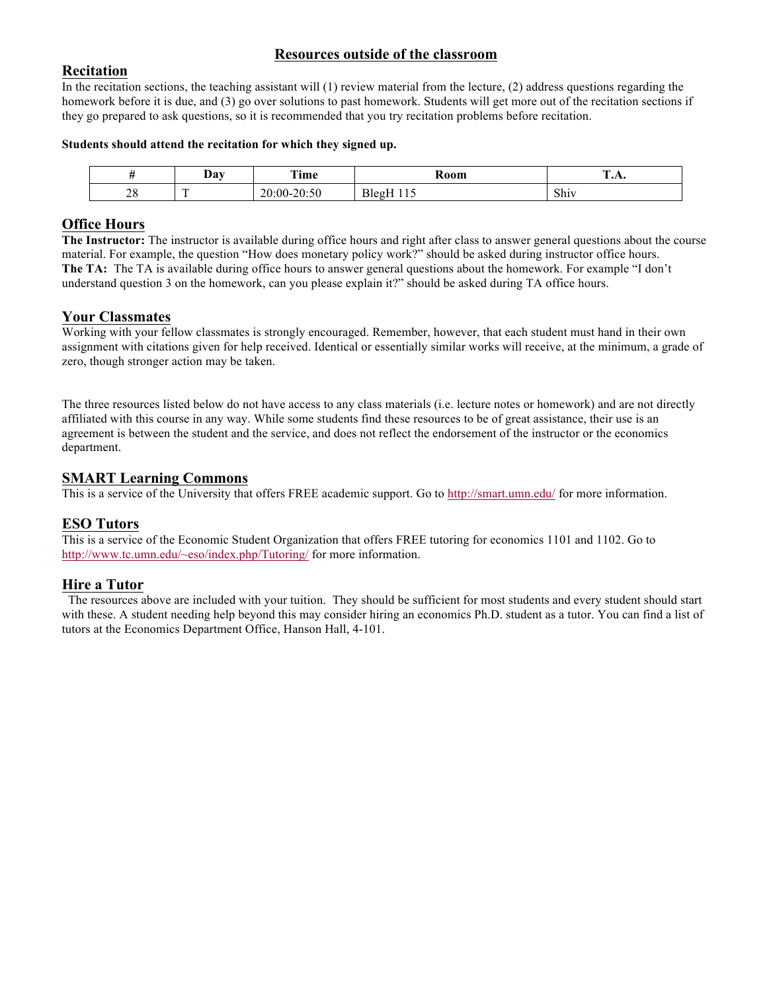# **Resources outside of the classroom**

## **Recitation**

In the recitation sections, the teaching assistant will (1) review material from the lecture, (2) address questions regarding the homework before it is due, and (3) go over solutions to past homework. Students will get more out of the recitation sections if they go prepared to ask questions, so it is recommended that you try recitation problems before recitation.

#### **Students should attend the recitation for which they signed up.**

|               | $\boldsymbol{\mathrm{v}}$ | m.<br>rime                                                | <b>Room</b>                                     | $\sim$<br>$\mathbf{L}$ of $\mathbf{L}$ |
|---------------|---------------------------|-----------------------------------------------------------|-------------------------------------------------|----------------------------------------|
| o<br>$\sim$ 0 | $\overline{ }$            | $\sim$ $\sim$<br>ጎሰ<br>$\Omega$<br>$00 -$<br><b>20.30</b> | $\mathbf{r}$<br>.<br>.leσ<br>. .<br>-<br>$\sim$ | $\sim$ 1<br>Shiv                       |

# **Office Hours**

**The Instructor:** The instructor is available during office hours and right after class to answer general questions about the course material. For example, the question "How does monetary policy work?" should be asked during instructor office hours. **The TA:** The TA is available during office hours to answer general questions about the homework. For example "I don't understand question 3 on the homework, can you please explain it?" should be asked during TA office hours.

### **Your Classmates**

Working with your fellow classmates is strongly encouraged. Remember, however, that each student must hand in their own assignment with citations given for help received. Identical or essentially similar works will receive, at the minimum, a grade of zero, though stronger action may be taken.

The three resources listed below do not have access to any class materials (i.e. lecture notes or homework) and are not directly affiliated with this course in any way. While some students find these resources to be of great assistance, their use is an agreement is between the student and the service, and does not reflect the endorsement of the instructor or the economics department.

### **SMART Learning Commons**

This is a service of the University that offers FREE academic support. Go to http://smart.umn.edu/ for more information.

# **ESO Tutors**

This is a service of the Economic Student Organization that offers FREE tutoring for economics 1101 and 1102. Go to http://www.tc.umn.edu/~eso/index.php/Tutoring/ for more information.

# **Hire a Tutor**

The resources above are included with your tuition. They should be sufficient for most students and every student should start with these. A student needing help beyond this may consider hiring an economics Ph.D. student as a tutor. You can find a list of tutors at the Economics Department Office, Hanson Hall, 4-101.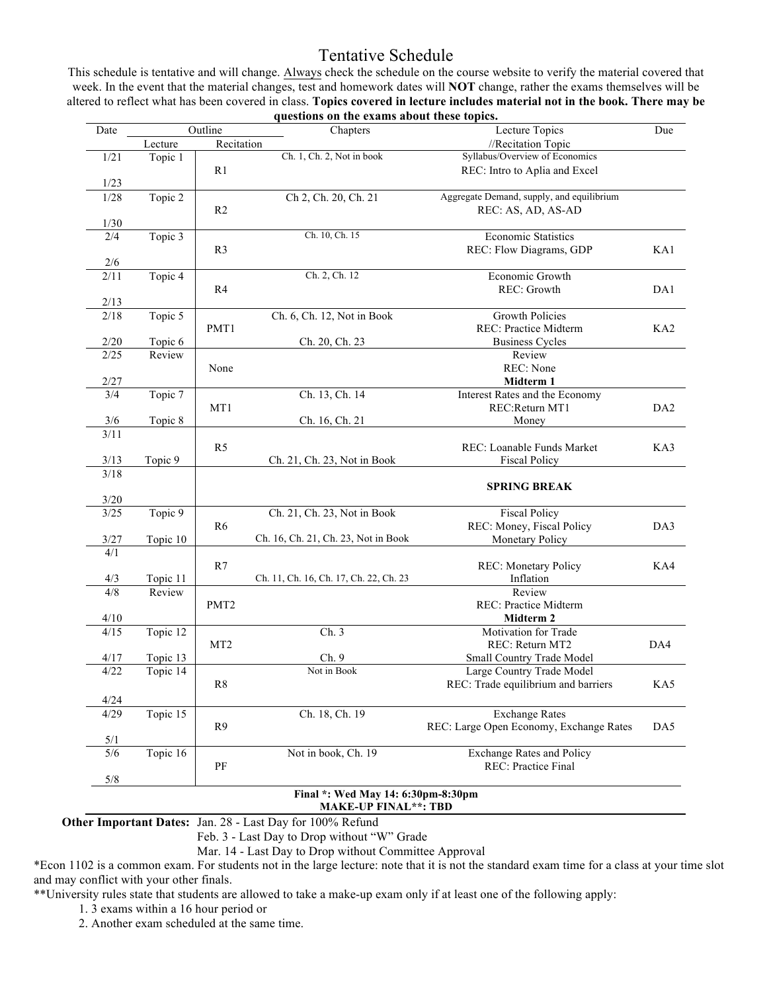# Tentative Schedule

This schedule is tentative and will change. Always check the schedule on the course website to verify the material covered that week. In the event that the material changes, test and homework dates will **NOT** change, rather the exams themselves will be altered to reflect what has been covered in class. **Topics covered in lecture includes material not in the book. There may be questions on the exams about these topics.**

| Date           |                      | Outline<br>Chapters |                                        | Lecture Topics<br>Due                     |                 |  |  |
|----------------|----------------------|---------------------|----------------------------------------|-------------------------------------------|-----------------|--|--|
|                | Lecture              | Recitation          |                                        | //Recitation Topic                        |                 |  |  |
| 1/21           | Topic 1              |                     | Ch. 1, Ch. 2, Not in book              | Syllabus/Overview of Economics            |                 |  |  |
|                |                      | R <sub>1</sub>      |                                        | REC: Intro to Aplia and Excel             |                 |  |  |
| 1/23           |                      |                     |                                        |                                           |                 |  |  |
| 1/28           | Topic 2              |                     | Ch 2, Ch. 20, Ch. 21                   | Aggregate Demand, supply, and equilibrium |                 |  |  |
|                |                      | R <sub>2</sub>      |                                        | REC: AS, AD, AS-AD                        |                 |  |  |
| 1/30           |                      |                     |                                        |                                           |                 |  |  |
| 2/4            | Topic 3              |                     | Ch. 10, Ch. 15                         | <b>Economic Statistics</b>                |                 |  |  |
|                |                      | R <sub>3</sub>      |                                        | REC: Flow Diagrams, GDP                   | KA1             |  |  |
| 2/6            |                      |                     |                                        |                                           |                 |  |  |
| $\frac{2}{11}$ | Topic 4              |                     | Ch. 2, Ch. 12                          | Economic Growth                           |                 |  |  |
|                |                      | R <sub>4</sub>      |                                        | <b>REC:</b> Growth                        | DA1             |  |  |
| 2/13           |                      |                     |                                        |                                           |                 |  |  |
| 2/18           | Topic 5              |                     | Ch. 6, Ch. 12, Not in Book             | <b>Growth Policies</b>                    |                 |  |  |
|                |                      | PMT1                |                                        | REC: Practice Midterm                     | KA <sub>2</sub> |  |  |
| 2/20           | Topic 6              |                     | Ch. 20, Ch. 23                         | <b>Business Cycles</b>                    |                 |  |  |
| 2/25           | Review               |                     |                                        | Review                                    |                 |  |  |
|                |                      | None                |                                        | REC: None                                 |                 |  |  |
| 2/27           |                      |                     |                                        | Midterm 1                                 |                 |  |  |
| 3/4            | Topic 7              |                     | Ch. 13, Ch. 14                         | Interest Rates and the Economy            |                 |  |  |
|                |                      | MT1                 |                                        | REC:Return MT1                            | DA <sub>2</sub> |  |  |
| 3/6            | Topic 8              |                     | Ch. 16, Ch. 21                         | Money                                     |                 |  |  |
| 3/11           |                      |                     |                                        |                                           |                 |  |  |
|                |                      | R <sub>5</sub>      |                                        | REC: Loanable Funds Market                | KA3             |  |  |
| 3/13           | Topic 9              |                     | Ch. 21, Ch. 23, Not in Book            | <b>Fiscal Policy</b>                      |                 |  |  |
| 3/18           |                      |                     |                                        |                                           |                 |  |  |
|                |                      |                     |                                        | <b>SPRING BREAK</b>                       |                 |  |  |
| 3/20           |                      |                     |                                        |                                           |                 |  |  |
| $3/25$         | Topic $\overline{9}$ |                     | Ch. 21, Ch. 23, Not in Book            | <b>Fiscal Policy</b>                      |                 |  |  |
|                |                      | R <sub>6</sub>      |                                        | REC: Money, Fiscal Policy                 | DA3             |  |  |
| 3/27           | Topic 10             |                     | Ch. 16, Ch. 21, Ch. 23, Not in Book    | Monetary Policy                           |                 |  |  |
| 4/1            |                      |                     |                                        |                                           |                 |  |  |
|                |                      | R7                  |                                        | <b>REC:</b> Monetary Policy               | KA4             |  |  |
| 4/3            | Topic 11             |                     | Ch. 11, Ch. 16, Ch. 17, Ch. 22, Ch. 23 | Inflation                                 |                 |  |  |
| 4/8            | Review               |                     |                                        | Review                                    |                 |  |  |
|                |                      | PMT <sub>2</sub>    |                                        | <b>REC: Practice Midterm</b>              |                 |  |  |
| 4/10           |                      |                     |                                        | Midterm 2                                 |                 |  |  |
| 4/15           | Topic 12             |                     | $\overline{Ch}$ . 3                    | Motivation for Trade                      |                 |  |  |
|                |                      | MT <sub>2</sub>     |                                        | REC: Return MT2                           | DA4             |  |  |
| 4/17           | Topic 13             |                     | Ch.9                                   | Small Country Trade Model                 |                 |  |  |
| 4/22           | Topic 14             |                     | Not in Book                            | Large Country Trade Model                 |                 |  |  |
|                |                      | R8                  |                                        | REC: Trade equilibrium and barriers       | KA5             |  |  |
|                |                      |                     |                                        |                                           |                 |  |  |
| 4/24           |                      |                     |                                        |                                           |                 |  |  |
| 4/29           | Topic 15             |                     | Ch. 18, Ch. 19                         | <b>Exchange Rates</b>                     |                 |  |  |
|                |                      | R <sub>9</sub>      |                                        | REC: Large Open Economy, Exchange Rates   | DA5             |  |  |
| 5/1            |                      |                     |                                        |                                           |                 |  |  |
|                |                      |                     |                                        | <b>Exchange Rates and Policy</b>          |                 |  |  |
| 5/6            | Topic 16             |                     | Not in book, Ch. 19                    |                                           |                 |  |  |
| $5/8$          |                      | PF                  |                                        | REC: Practice Final                       |                 |  |  |

# **Final \*: Wed May 14: 6:30pm-8:30pm**

**MAKE-UP FINAL\*\*: TBD**

**Other Important Dates:** Jan. 28 - Last Day for 100% Refund

Feb. 3 - Last Day to Drop without "W" Grade

Mar. 14 - Last Day to Drop without Committee Approval

\*Econ 1102 is a common exam. For students not in the large lecture: note that it is not the standard exam time for a class at your time slot and may conflict with your other finals.

\*\*University rules state that students are allowed to take a make-up exam only if at least one of the following apply:

1. 3 exams within a 16 hour period or

2. Another exam scheduled at the same time.